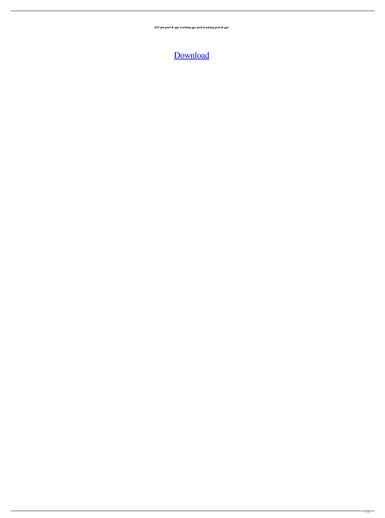**k53 pta pool & gps tracking gps pool tracking pool & gps**

[Download](http://evacdir.com/SzUzIExlZXJsaW5nbGlzZW5zaWUgVnJhZXN0ZWxsZSBQZGYgRnJlZQSzU.pursing?rainout=ZG93bmxvYWR8M1ROWmpKa05YeDhNVFkxTlRnME1qazRNWHg4TWpVM05IeDhLRTBwSUhKbFlXUXRZbXh2WnlCYlJtRnpkQ0JIUlU1ZA/mosley/removables.cannibalize)